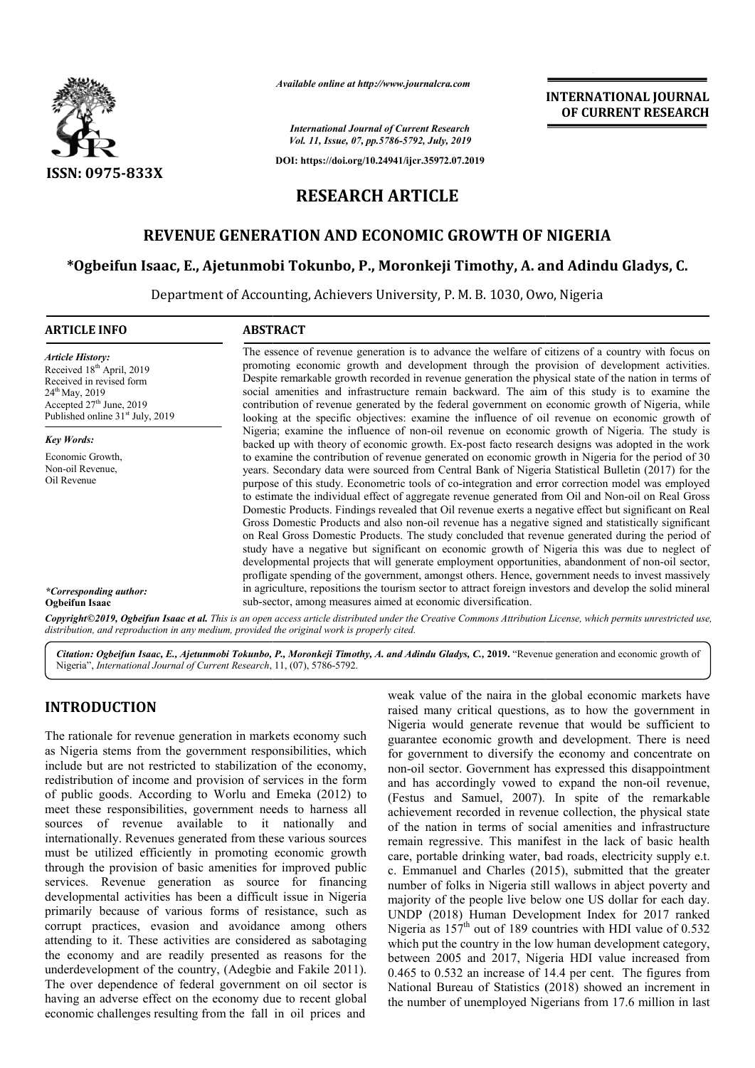

*Available online at http://www.journalcra.com*

*International Journal of Current Research Vol. 11, Issue, 07, pp.5786-5792, July, 2019*

**DOI: https://doi.org/10.24941/ijcr.35972.07.2019**

# **INTERNATIONAL JOURNAL OF CURRENT RESEARCH**

# **RESEARCH ARTICLE**

# **REVENUE GENERATION AND ECONOMIC GROWTH OF NIGERIA**

# **\*Ogbeifun Isaac, E., Ajetunmobi Tokunbo, P. P., Moronkeji Timothy, A. and Adindu Gladys, C. Adindu Gladys,**

Department of Accounting, Achievers University, P. M. B. 1030, Owo, Nigeria

| <b>ARTICLE INFO</b>                                                                                                                                                                                      | <b>ABSTRACT</b>                                                                                                                                                                                                                                                                                                                                                                                                                                                                                                                                                                                                                                                                                                                                                                                                                                                                                                                                                                                                                                             |
|----------------------------------------------------------------------------------------------------------------------------------------------------------------------------------------------------------|-------------------------------------------------------------------------------------------------------------------------------------------------------------------------------------------------------------------------------------------------------------------------------------------------------------------------------------------------------------------------------------------------------------------------------------------------------------------------------------------------------------------------------------------------------------------------------------------------------------------------------------------------------------------------------------------------------------------------------------------------------------------------------------------------------------------------------------------------------------------------------------------------------------------------------------------------------------------------------------------------------------------------------------------------------------|
| <b>Article History:</b><br>Received 18 <sup>th</sup> April, 2019<br>Received in revised form<br>$24^{\text{th}}$ May, 2019<br>Accepted $27th$ June, 2019<br>Published online 31 <sup>st</sup> July, 2019 | The essence of revenue generation is to advance the welfare of citizens of a country with focus on<br>promoting economic growth and development through the provision of development activities.<br>Despite remarkable growth recorded in revenue generation the physical state of the nation in terms of<br>social amenities and infrastructure remain backward. The aim of this study is to examine the<br>contribution of revenue generated by the federal government on economic growth of Nigeria, while<br>looking at the specific objectives: examine the influence of oil revenue on economic growth of                                                                                                                                                                                                                                                                                                                                                                                                                                             |
| <b>Key Words:</b>                                                                                                                                                                                        | Nigeria; examine the influence of non-oil revenue on economic growth of Nigeria. The study is<br>backed up with theory of economic growth. Ex-post facto research designs was adopted in the work                                                                                                                                                                                                                                                                                                                                                                                                                                                                                                                                                                                                                                                                                                                                                                                                                                                           |
| Economic Growth,<br>Non-oil Revenue,<br>Oil Revenue                                                                                                                                                      | to examine the contribution of revenue generated on economic growth in Nigeria for the period of 30<br>years. Secondary data were sourced from Central Bank of Nigeria Statistical Bulletin (2017) for the<br>purpose of this study. Econometric tools of co-integration and error correction model was employed<br>to estimate the individual effect of aggregate revenue generated from Oil and Non-oil on Real Gross<br>Domestic Products. Findings revealed that Oil revenue exerts a negative effect but significant on Real<br>Gross Domestic Products and also non-oil revenue has a negative signed and statistically significant<br>on Real Gross Domestic Products. The study concluded that revenue generated during the period of<br>study have a negative but significant on economic growth of Nigeria this was due to neglect of<br>developmental projects that will generate employment opportunities, abandonment of non-oil sector,<br>profligate spending of the government, amongst others. Hence, government needs to invest massively |
| *Corresponding author:<br>Ogbeifun Isaac                                                                                                                                                                 | in agriculture, repositions the tourism sector to attract foreign investors and develop the solid mineral<br>sub-sector, among measures aimed at economic diversification.                                                                                                                                                                                                                                                                                                                                                                                                                                                                                                                                                                                                                                                                                                                                                                                                                                                                                  |
|                                                                                                                                                                                                          | <b>Convright</b> ©2019 Dabeifun Jsaac et al. This is an onen access article distributed under the Creative Commons Attribution License, which permits unrestricted use                                                                                                                                                                                                                                                                                                                                                                                                                                                                                                                                                                                                                                                                                                                                                                                                                                                                                      |

*Copyright©2019, Ogbeifun Isaac et al. This is an open distribution, and reproduction in any medium, provided the original work is properly cited. access article distributed under the Creative Commons Attribution Attribution License, which permits unrestricted use,*

Citation: Ogbeifun Isaac, E., Ajetunmobi Tokunbo, P., Moronkeji Timothy, A. and Adindu Gladys, C., 2019. "Revenue generation and economic growth of Nigeria", *International Journal of Current Research*, 11, (0 (07), 5786-5792.

# **INTRODUCTION**

The rationale for revenue generation in markets economy such as Nigeria stems from the government responsibilities, which include but are not restricted to stabilization of the economy, redistribution of income and provision of services in the form of public goods. According to Worlu and Emeka (2012) to meet these responsibilities, government needs to harness all sources of revenue available to it nationally and internationally. Revenues generated from these various sources must be utilized efficiently in promoting economic growth through the provision of basic amenities for improved public services. Revenue generation as source for financing developmental activities has been a difficult issue in Nigeria primarily because of various forms of resistance, such as corrupt practices, evasion and avoidance among others attending to it. These activities are considered as sabotaging the economy and are readily presented as reasons for the underdevelopment of the country, (Adegbie and Fakile 2011). The over dependence of federal government on oil sector is having an adverse effect on the economy due to recent global economic challenges resulting from the fall in oil prices and

weak value of the naira in the global economic markets have raised many critical questions, as to how the government in Nigeria would generate revenue that would be sufficient to guarantee economic growth and development. There is need for government to diversify the economy and concentrate on non-oil sector. Government has expressed this disappointment non-oil sector. Government has expressed this disappointment<br>and has accordingly vowed to expand the non-oil revenue, (Festus and Samuel, 2007). In spite of the remarkable achievement recorded in revenue collection, the physical state of the nation in terms of social amenities and infrastructure remain regressive. This manifest in the lack of basic health care, portable drinking water, bad roads, electricity supply e.t. c. Emmanuel and Charles (2015), submitted that the greater number of folks in Nigeria still wallows in abject poverty and majority of the people live below one US dollar for each day. UNDP (2018) Human Development Index for 2017 ranked Nigeria as  $157<sup>th</sup>$  out of 189 countries with HDI value of 0.532 which put the country in the low human development category, between 2005 and 2017, Nigeria HDI value increased from 0.465 to 0.532 an increase of 14.4 per cent. The figures from National Bureau of Statistics (2018) showed an increment in the number of unemployed Nigerians from 17.6 million in last e of the naira in the global economic markets have<br>ny critical questions, as to how the government in<br>ould generate revenue that would be sufficient to<br>economic growth and development. There is need<br>ment to diversify the e achievement recorded in revenue collection, the physical state of the nation in terms of social amenities and infrastructure remain regressive. This manifest in the lack of basic health care, portable drinking water, bad and 2017, Nigeria HDI value increased from<br>an increase of 14.4 per cent. The figures from<br>u of Statistics (2018) showed an increment in<br>unemployed Nigerians from 17.6 million in last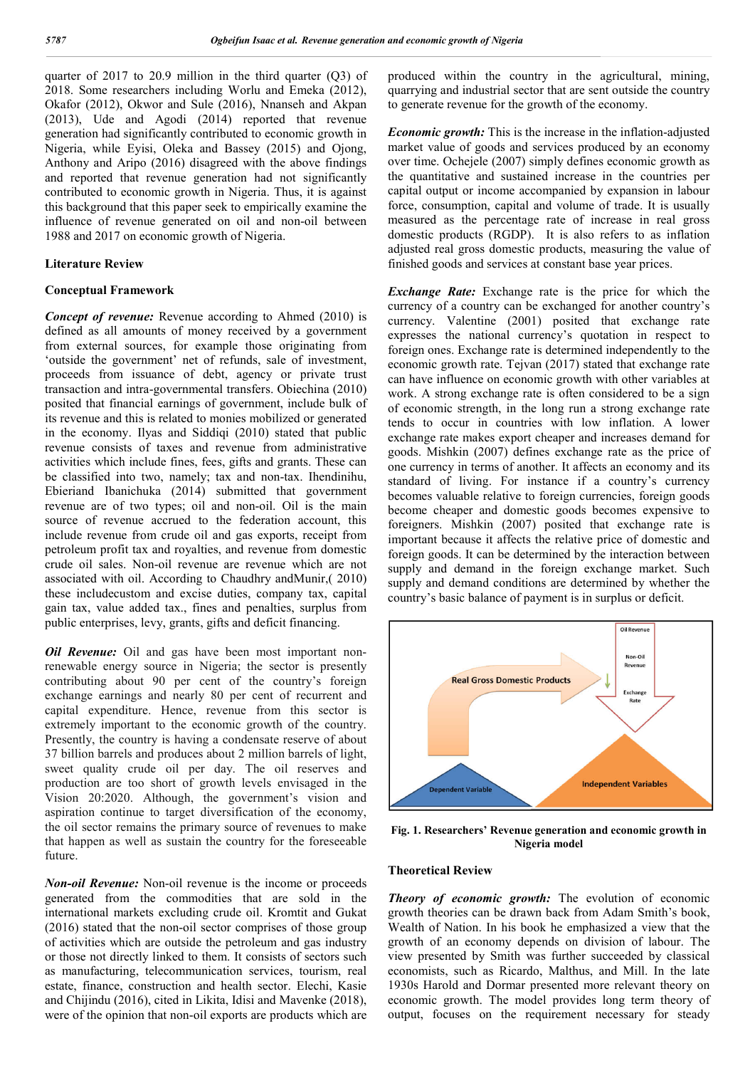quarter of 2017 to 20.9 million in the third quarter (Q3) of 2018. Some researchers including Worlu and Emeka (2012), Okafor (2012), Okwor and Sule (2016), Nnanseh and Akpan (2013), Ude and Agodi (2014) reported that revenue generation had significantly contributed to economic growth in Nigeria, while Eyisi, Oleka and Bassey (2015) and Ojong, Anthony and Aripo (2016) disagreed with the above findings and reported that revenue generation had not significantly contributed to economic growth in Nigeria. Thus, it is against this background that this paper seek to empirically examine the influence of revenue generated on oil and non-oil between 1988 and 2017 on economic growth of Nigeria.

### **Literature Review**

#### **Conceptual Framework**

*Concept of revenue:* Revenue according to Ahmed (2010) is defined as all amounts of money received by a government from external sources, for example those originating from 'outside the government' net of refunds, sale of investment, proceeds from issuance of debt, agency or private trust transaction and intra-governmental transfers. Obiechina (2010) posited that financial earnings of government, include bulk of its revenue and this is related to monies mobilized or generated in the economy. Ilyas and Siddiqi (2010) stated that public revenue consists of taxes and revenue from administrative activities which include fines, fees, gifts and grants. These can be classified into two, namely; tax and non-tax. Ihendinihu, Ebieriand Ibanichuka (2014) submitted that government revenue are of two types; oil and non-oil. Oil is the main source of revenue accrued to the federation account, this include revenue from crude oil and gas exports, receipt from petroleum profit tax and royalties, and revenue from domestic crude oil sales. Non-oil revenue are revenue which are not associated with oil. According to Chaudhry andMunir,( 2010) these includecustom and excise duties, company tax, capital gain tax, value added tax., fines and penalties, surplus from public enterprises, levy, grants, gifts and deficit financing.

*Oil Revenue:* Oil and gas have been most important nonrenewable energy source in Nigeria; the sector is presently contributing about 90 per cent of the country's foreign exchange earnings and nearly 80 per cent of recurrent and capital expenditure. Hence, revenue from this sector is extremely important to the economic growth of the country. Presently, the country is having a condensate reserve of about 37 billion barrels and produces about 2 million barrels of light, sweet quality crude oil per day. The oil reserves and production are too short of growth levels envisaged in the Vision 20:2020. Although, the government's vision and aspiration continue to target diversification of the economy, the oil sector remains the primary source of revenues to make that happen as well as sustain the country for the foreseeable future.

*Non-oil Revenue:* Non-oil revenue is the income or proceeds generated from the commodities that are sold in the international markets excluding crude oil. Kromtit and Gukat (2016) stated that the non-oil sector comprises of those group of activities which are outside the petroleum and gas industry or those not directly linked to them. It consists of sectors such as manufacturing, telecommunication services, tourism, real estate, finance, construction and health sector. Elechi, Kasie and Chijindu (2016), cited in Likita, Idisi and Mavenke (2018), were of the opinion that non-oil exports are products which are

produced within the country in the agricultural, mining, quarrying and industrial sector that are sent outside the country to generate revenue for the growth of the economy.

*Economic growth:* This is the increase in the inflation-adjusted market value of goods and services produced by an economy over time. Ochejele (2007) simply defines economic growth as the quantitative and sustained increase in the countries per capital output or income accompanied by expansion in labour force, consumption, capital and volume of trade. It is usually measured as the percentage rate of increase in real gross domestic products (RGDP). It is also refers to as inflation adjusted real gross domestic products, measuring the value of finished goods and services at constant base year prices.

*Exchange Rate:* Exchange rate is the price for which the currency of a country can be exchanged for another country's currency. Valentine (2001) posited that exchange rate expresses the national currency's quotation in respect to foreign ones. Exchange rate is determined independently to the economic growth rate. Tejvan (2017) stated that exchange rate can have influence on economic growth with other variables at work. A strong exchange rate is often considered to be a sign of economic strength, in the long run a strong exchange rate tends to occur in countries with low inflation. A lower exchange rate makes export cheaper and increases demand for goods. Mishkin (2007) defines exchange rate as the price of one currency in terms of another. It affects an economy and its standard of living. For instance if a country's currency becomes valuable relative to foreign currencies, foreign goods become cheaper and domestic goods becomes expensive to foreigners. Mishkin (2007) posited that exchange rate is important because it affects the relative price of domestic and foreign goods. It can be determined by the interaction between supply and demand in the foreign exchange market. Such supply and demand conditions are determined by whether the country's basic balance of payment is in surplus or deficit.



**Fig. 1. Researchers' Revenue generation and economic growth in Nigeria model**

### **Theoretical Review**

*Theory of economic growth:* The evolution of economic growth theories can be drawn back from Adam Smith's book, Wealth of Nation. In his book he emphasized a view that the growth of an economy depends on division of labour. The view presented by Smith was further succeeded by classical economists, such as Ricardo, Malthus, and Mill. In the late 1930s Harold and Dormar presented more relevant theory on economic growth. The model provides long term theory of output, focuses on the requirement necessary for steady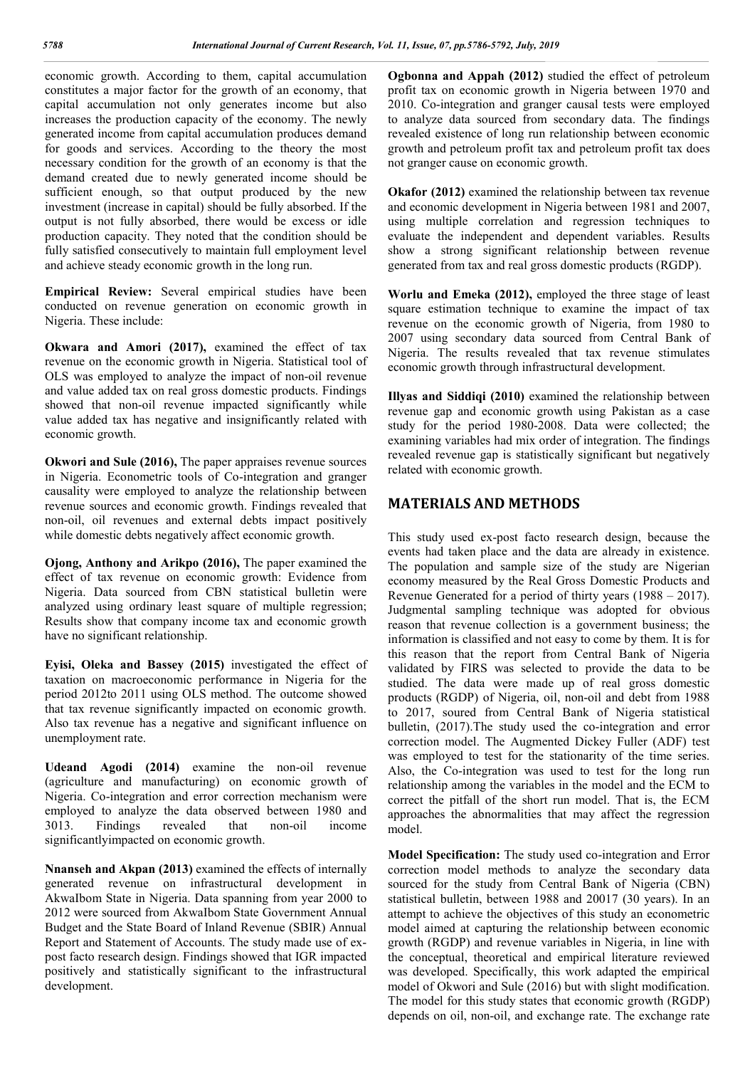economic growth. According to them, capital accumulation constitutes a major factor for the growth of an economy, that capital accumulation not only generates income but also increases the production capacity of the economy. The newly generated income from capital accumulation produces demand for goods and services. According to the theory the most necessary condition for the growth of an economy is that the demand created due to newly generated income should be sufficient enough, so that output produced by the new investment (increase in capital) should be fully absorbed. If the output is not fully absorbed, there would be excess or idle production capacity. They noted that the condition should be fully satisfied consecutively to maintain full employment level and achieve steady economic growth in the long run.

**Empirical Review:** Several empirical studies have been conducted on revenue generation on economic growth in Nigeria. These include:

**Okwara and Amori (2017),** examined the effect of tax revenue on the economic growth in Nigeria. Statistical tool of OLS was employed to analyze the impact of non-oil revenue and value added tax on real gross domestic products. Findings showed that non-oil revenue impacted significantly while value added tax has negative and insignificantly related with economic growth.

**Okwori and Sule (2016),** The paper appraises revenue sources in Nigeria. Econometric tools of Co-integration and granger causality were employed to analyze the relationship between revenue sources and economic growth. Findings revealed that non-oil, oil revenues and external debts impact positively while domestic debts negatively affect economic growth.

**Ojong, Anthony and Arikpo (2016),** The paper examined the effect of tax revenue on economic growth: Evidence from Nigeria. Data sourced from CBN statistical bulletin were analyzed using ordinary least square of multiple regression; Results show that company income tax and economic growth have no significant relationship.

**Eyisi, Oleka and Bassey (2015)** investigated the effect of taxation on macroeconomic performance in Nigeria for the period 2012to 2011 using OLS method. The outcome showed that tax revenue significantly impacted on economic growth. Also tax revenue has a negative and significant influence on unemployment rate.

**Udeand Agodi (2014)** examine the non-oil revenue (agriculture and manufacturing) on economic growth of Nigeria. Co-integration and error correction mechanism were employed to analyze the data observed between 1980 and 3013. Findings revealed that non-oil income significantlyimpacted on economic growth.

**Nnanseh and Akpan (2013)** examined the effects of internally generated revenue on infrastructural development in AkwaIbom State in Nigeria. Data spanning from year 2000 to 2012 were sourced from AkwaIbom State Government Annual Budget and the State Board of Inland Revenue (SBIR) Annual Report and Statement of Accounts. The study made use of expost facto research design. Findings showed that IGR impacted positively and statistically significant to the infrastructural development.

**Ogbonna and Appah (2012)** studied the effect of petroleum profit tax on economic growth in Nigeria between 1970 and 2010. Co-integration and granger causal tests were employed to analyze data sourced from secondary data. The findings revealed existence of long run relationship between economic growth and petroleum profit tax and petroleum profit tax does not granger cause on economic growth.

**Okafor (2012)** examined the relationship between tax revenue and economic development in Nigeria between 1981 and 2007, using multiple correlation and regression techniques to evaluate the independent and dependent variables. Results show a strong significant relationship between revenue generated from tax and real gross domestic products (RGDP).

**Worlu and Emeka (2012),** employed the three stage of least square estimation technique to examine the impact of tax revenue on the economic growth of Nigeria, from 1980 to 2007 using secondary data sourced from Central Bank of Nigeria. The results revealed that tax revenue stimulates economic growth through infrastructural development.

**Illyas and Siddiqi (2010)** examined the relationship between revenue gap and economic growth using Pakistan as a case study for the period 1980-2008. Data were collected; the examining variables had mix order of integration. The findings revealed revenue gap is statistically significant but negatively related with economic growth.

## **MATERIALS AND METHODS**

This study used ex-post facto research design, because the events had taken place and the data are already in existence. The population and sample size of the study are Nigerian economy measured by the Real Gross Domestic Products and Revenue Generated for a period of thirty years (1988 – 2017). Judgmental sampling technique was adopted for obvious reason that revenue collection is a government business; the information is classified and not easy to come by them. It is for this reason that the report from Central Bank of Nigeria validated by FIRS was selected to provide the data to be studied. The data were made up of real gross domestic products (RGDP) of Nigeria, oil, non-oil and debt from 1988 to 2017, soured from Central Bank of Nigeria statistical bulletin, (2017).The study used the co-integration and error correction model. The Augmented Dickey Fuller (ADF) test was employed to test for the stationarity of the time series. Also, the Co-integration was used to test for the long run relationship among the variables in the model and the ECM to correct the pitfall of the short run model. That is, the ECM approaches the abnormalities that may affect the regression model.

**Model Specification:** The study used co-integration and Error correction model methods to analyze the secondary data sourced for the study from Central Bank of Nigeria (CBN) statistical bulletin, between 1988 and 20017 (30 years). In an attempt to achieve the objectives of this study an econometric model aimed at capturing the relationship between economic growth (RGDP) and revenue variables in Nigeria, in line with the conceptual, theoretical and empirical literature reviewed was developed. Specifically, this work adapted the empirical model of Okwori and Sule (2016) but with slight modification. The model for this study states that economic growth (RGDP) depends on oil, non-oil, and exchange rate. The exchange rate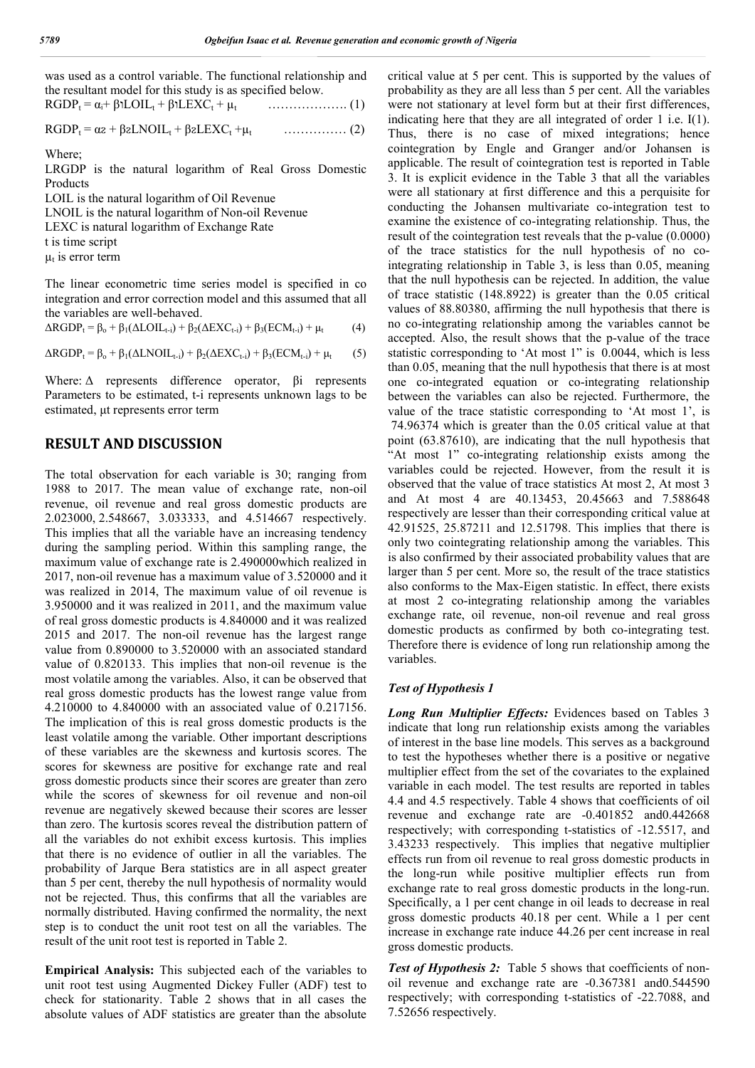| was used as a control variable. The functional relationship and |                                                 |
|-----------------------------------------------------------------|-------------------------------------------------|
| the resultant model for this study is as specified below.       |                                                 |
| $RGDP_t = \alpha_i + \beta L OIL_t + \beta LEXC_t + \mu_t$      | $\ldots \ldots \ldots \ldots \ldots \ldots (1)$ |

RGDPt = αᴤ + βᴤLNOILt + βᴤLEXCt +µt …………… (2)

Where;

LRGDP is the natural logarithm of Real Gross Domestic Products

LOIL is the natural logarithm of Oil Revenue LNOIL is the natural logarithm of Non-oil Revenue LEXC is natural logarithm of Exchange Rate t is time script  $\mu_t$  is error term

The linear econometric time series model is specified in co integration and error correction model and this assumed that all the variables are well-behaved.

 $\Delta RGDP_t = \beta_o + \beta_1(\Delta LOIL_{t-i}) + \beta_2(\Delta EXC_{t-i}) + \beta_3(ECM_{t-i}) + \mu_t$  (4)

 $\Delta RGDP_t = \beta_o + \beta_1(\Delta LNOIL_{t-i}) + \beta_2(\Delta EXC_{t-i}) + \beta_3(ECM_{t-i}) + \mu_t$  (5)

Where: Δ represents difference operator, βi represents Parameters to be estimated, t-i represents unknown lags to be estimated, μt represents error term

## **RESULT AND DISCUSSION**

The total observation for each variable is 30; ranging from 1988 to 2017. The mean value of exchange rate, non-oil revenue, oil revenue and real gross domestic products are 2.023000, 2.548667, 3.033333, and 4.514667 respectively. This implies that all the variable have an increasing tendency during the sampling period. Within this sampling range, the maximum value of exchange rate is 2.490000which realized in 2017, non-oil revenue has a maximum value of 3.520000 and it was realized in 2014, The maximum value of oil revenue is 3.950000 and it was realized in 2011, and the maximum value of real gross domestic products is 4.840000 and it was realized 2015 and 2017. The non-oil revenue has the largest range value from 0.890000 to 3.520000 with an associated standard value of 0.820133. This implies that non-oil revenue is the most volatile among the variables. Also, it can be observed that real gross domestic products has the lowest range value from 4.210000 to 4.840000 with an associated value of 0.217156. The implication of this is real gross domestic products is the least volatile among the variable. Other important descriptions of these variables are the skewness and kurtosis scores. The scores for skewness are positive for exchange rate and real gross domestic products since their scores are greater than zero while the scores of skewness for oil revenue and non-oil revenue are negatively skewed because their scores are lesser than zero. The kurtosis scores reveal the distribution pattern of all the variables do not exhibit excess kurtosis. This implies that there is no evidence of outlier in all the variables. The probability of Jarque Bera statistics are in all aspect greater than 5 per cent, thereby the null hypothesis of normality would not be rejected. Thus, this confirms that all the variables are normally distributed. Having confirmed the normality, the next step is to conduct the unit root test on all the variables. The result of the unit root test is reported in Table 2.

**Empirical Analysis:** This subjected each of the variables to unit root test using Augmented Dickey Fuller (ADF) test to check for stationarity. Table 2 shows that in all cases the absolute values of ADF statistics are greater than the absolute critical value at 5 per cent. This is supported by the values of probability as they are all less than 5 per cent. All the variables were not stationary at level form but at their first differences, indicating here that they are all integrated of order 1 i.e. I(1). Thus, there is no case of mixed integrations; hence cointegration by Engle and Granger and/or Johansen is applicable. The result of cointegration test is reported in Table 3. It is explicit evidence in the Table 3 that all the variables were all stationary at first difference and this a perquisite for conducting the Johansen multivariate co-integration test to examine the existence of co-integrating relationship. Thus, the result of the cointegration test reveals that the p-value (0.0000) of the trace statistics for the null hypothesis of no cointegrating relationship in Table 3, is less than 0.05, meaning that the null hypothesis can be rejected. In addition, the value of trace statistic (148.8922) is greater than the 0.05 critical values of 88.80380, affirming the null hypothesis that there is no co-integrating relationship among the variables cannot be accepted. Also, the result shows that the p-value of the trace statistic corresponding to 'At most 1" is 0.0044, which is less than 0.05, meaning that the null hypothesis that there is at most one co-integrated equation or co-integrating relationship between the variables can also be rejected. Furthermore, the value of the trace statistic corresponding to 'At most 1', is 74.96374 which is greater than the 0.05 critical value at that point (63.87610), are indicating that the null hypothesis that "At most 1" co-integrating relationship exists among the variables could be rejected. However, from the result it is observed that the value of trace statistics At most 2, At most 3 and At most 4 are 40.13453, 20.45663 and 7.588648 respectively are lesser than their corresponding critical value at 42.91525, 25.87211 and 12.51798. This implies that there is only two cointegrating relationship among the variables. This is also confirmed by their associated probability values that are larger than 5 per cent. More so, the result of the trace statistics also conforms to the Max-Eigen statistic. In effect, there exists at most 2 co-integrating relationship among the variables exchange rate, oil revenue, non-oil revenue and real gross domestic products as confirmed by both co-integrating test. Therefore there is evidence of long run relationship among the variables.

### *Test of Hypothesis 1*

*Long Run Multiplier Effects:* Evidences based on Tables 3 indicate that long run relationship exists among the variables of interest in the base line models. This serves as a background to test the hypotheses whether there is a positive or negative multiplier effect from the set of the covariates to the explained variable in each model. The test results are reported in tables 4.4 and 4.5 respectively. Table 4 shows that coefficients of oil revenue and exchange rate are -0.401852 and0.442668 respectively; with corresponding t-statistics of -12.5517, and 3.43233 respectively. This implies that negative multiplier effects run from oil revenue to real gross domestic products in the long-run while positive multiplier effects run from exchange rate to real gross domestic products in the long-run. Specifically, a 1 per cent change in oil leads to decrease in real gross domestic products 40.18 per cent. While a 1 per cent increase in exchange rate induce 44.26 per cent increase in real gross domestic products.

*Test of Hypothesis 2:* Table 5 shows that coefficients of nonoil revenue and exchange rate are -0.367381 and0.544590 respectively; with corresponding t-statistics of -22.7088, and 7.52656 respectively.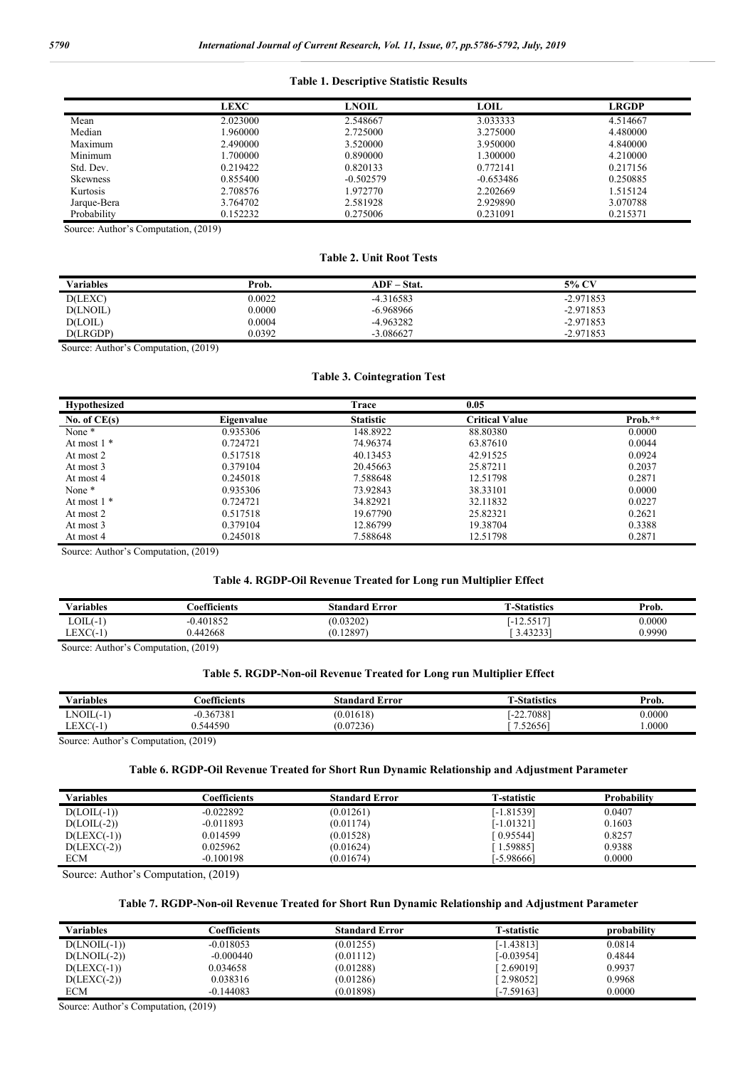#### **Table 1. Descriptive Statistic Results**

|                 | <b>LEXC</b> | <b>LNOIL</b> | LOIL        | <b>LRGDP</b> |
|-----------------|-------------|--------------|-------------|--------------|
| Mean            | 2.023000    | 2.548667     | 3.033333    | 4.514667     |
| Median          | 1.960000    | 2.725000     | 3.275000    | 4.480000     |
| Maximum         | 2.490000    | 3.520000     | 3.950000    | 4.840000     |
| Minimum         | 1.700000    | 0.890000     | 1.300000    | 4.210000     |
| Std. Dev.       | 0.219422    | 0.820133     | 0.772141    | 0.217156     |
| <b>Skewness</b> | 0.855400    | $-0.502579$  | $-0.653486$ | 0.250885     |
| Kurtosis        | 2.708576    | 1.972770     | 2.202669    | 1.515124     |
| Jarque-Bera     | 3.764702    | 2.581928     | 2.929890    | 3.070788     |
| Probability     | 0.152232    | 0.275006     | 0.231091    | 0.215371     |

Source: Author's Computation, (2019)

## **Table 2. Unit Root Tests**

| <b>Variables</b> | Prob.  | $ADF - Stat.$ | 5% CV       |
|------------------|--------|---------------|-------------|
| D(LEXC)          | 0.0022 | $-4.316583$   | $-2.971853$ |
| D(LNOIL)         | 0.0000 | $-6.968966$   | $-2.971853$ |
| D(LOIL)          | 0.0004 | -4.963282     | $-2.971853$ |
| D(LRGDP)         | 0.0392 | $-3.086627$   | $-2.971853$ |

Source: Author's Computation, (2019)

#### **Table 3. Cointegration Test**

| Hypothesized   |            | Trace            | 0.05                  |         |
|----------------|------------|------------------|-----------------------|---------|
| No. of $CE(s)$ | Eigenvalue | <b>Statistic</b> | <b>Critical Value</b> | Prob.** |
| None *         | 0.935306   | 148.8922         | 88.80380              | 0.0000  |
| At most $1$ *  | 0.724721   | 74.96374         | 63.87610              | 0.0044  |
| At most 2      | 0.517518   | 40.13453         | 42.91525              | 0.0924  |
| At most 3      | 0.379104   | 20.45663         | 25.87211              | 0.2037  |
| At most 4      | 0.245018   | 7.588648         | 12.51798              | 0.2871  |
| None *         | 0.935306   | 73.92843         | 38.33101              | 0.0000  |
| At most $1$ *  | 0.724721   | 34.82921         | 32.11832              | 0.0227  |
| At most 2      | 0.517518   | 19.67790         | 25.82321              | 0.2621  |
| At most 3      | 0.379104   | 12.86799         | 19.38704              | 0.3388  |
| At most 4      | 0.245018   | 7.588648         | 12.51798              | 0.2871  |

Source: Author's Computation, (2019)

## **Table 4. RGDP-Oil Revenue Treated for Long run Multiplier Effect**

| <b>Variables</b>    | oefficients: | Standard<br>Error | -Statistics                            | Prob.  |
|---------------------|--------------|-------------------|----------------------------------------|--------|
| $LOIL(-1)$          | 0.401852     | (0.03202)         | $\sim$ $\sim$ $\sim$ $\sim$<br>⊥ د ب⊥۰ | 0.0000 |
| EXC<br>– ∟CAU - ' ` | .442668      | .12897<br>Ώ.      | 12221<br>3.45255                       | 0.9990 |

Source: Author's Computation, (2019)

## **Table 5. RGDP-Non-oil Revenue Treated for Long run Multiplier Effect**

| <b>Variables</b> | -0.00<br><b>Coefficients</b> | <b>Standard Error</b> | -Statistics  | Prob.  |
|------------------|------------------------------|-----------------------|--------------|--------|
| $LNOIL(-1)$      | $-0.367381$                  | (0.01618)             | $[-22.7088]$ | 0.0000 |
| $LEXC(-1)$       | 0.544590                     | (0.07236)             | .52656       | .0000  |

Source: Author's Computation, (2019)

## **Table 6. RGDP-Oil Revenue Treated for Short Run Dynamic Relationship and Adjustment Parameter**

| Variables     | Coefficients | <b>Standard Error</b> | <b>T-statistic</b> | <b>Probability</b> |  |
|---------------|--------------|-----------------------|--------------------|--------------------|--|
| $D(LOIL(-1))$ | $-0.022892$  | (0.01261)             | [-1.81539]         | 0.0407             |  |
| $D(LOIL(-2))$ | $-0.011893$  | (0.01174)             | [-1.01321]         | 0.1603             |  |
| $D(LEXC(-1))$ | 0.014599     | (0.01528)             | [0.95544]          | 0.8257             |  |
| $D(LEXC(-2))$ | 0.025962     | (0.01624)             | 1.59885            | 0.9388             |  |
| <b>ECM</b>    | $-0.100198$  | (0.01674)             | [-5.98666]         | 0.0000             |  |

Source: Author's Computation, (2019)

### **Table 7. RGDP-Non-oil Revenue Treated for Short Run Dynamic Relationship and Adjustment Parameter**

| Variables      | coefficients <sup>-</sup> | <b>Standard Error</b> | <b>T-statistic</b> | probability |
|----------------|---------------------------|-----------------------|--------------------|-------------|
| $D(LNOLL(-1))$ | $-0.018053$               | (0.01255)             | [-1.43813]         | 0.0814      |
| $D(LNOIL(-2))$ | $-0.000440$               | (0.01112)             | 1-0.039541         | 0.4844      |
| $D(LEXC(-1))$  | 0.034658                  | (0.01288)             | [2.69019]          | 0.9937      |
| $D(LEXC(-2))$  | 0.038316                  | (0.01286)             | $-2.98052$         | 0.9968      |
| <b>ECM</b>     | $-0.144083$               | (0.01898)             | [-7.59163]         | 0.0000      |

Source: Author's Computation, (2019)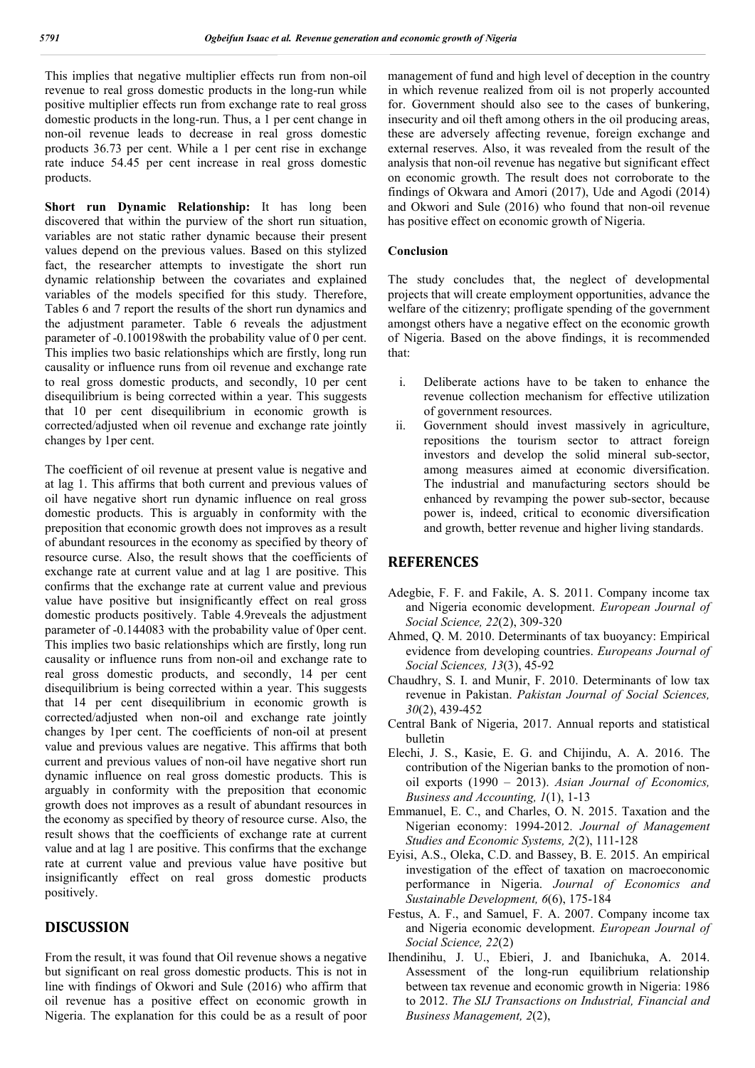This implies that negative multiplier effects run from non-oil revenue to real gross domestic products in the long-run while positive multiplier effects run from exchange rate to real gross domestic products in the long-run. Thus, a 1 per cent change in non-oil revenue leads to decrease in real gross domestic products 36.73 per cent. While a 1 per cent rise in exchange rate induce 54.45 per cent increase in real gross domestic products.

**Short run Dynamic Relationship:** It has long been discovered that within the purview of the short run situation, variables are not static rather dynamic because their present values depend on the previous values. Based on this stylized fact, the researcher attempts to investigate the short run dynamic relationship between the covariates and explained variables of the models specified for this study. Therefore, Tables 6 and 7 report the results of the short run dynamics and the adjustment parameter. Table 6 reveals the adjustment parameter of -0.100198with the probability value of 0 per cent. This implies two basic relationships which are firstly, long run causality or influence runs from oil revenue and exchange rate to real gross domestic products, and secondly, 10 per cent disequilibrium is being corrected within a year. This suggests that 10 per cent disequilibrium in economic growth is corrected/adjusted when oil revenue and exchange rate jointly changes by 1per cent.

The coefficient of oil revenue at present value is negative and at lag 1. This affirms that both current and previous values of oil have negative short run dynamic influence on real gross domestic products. This is arguably in conformity with the preposition that economic growth does not improves as a result of abundant resources in the economy as specified by theory of resource curse. Also, the result shows that the coefficients of exchange rate at current value and at lag 1 are positive. This confirms that the exchange rate at current value and previous value have positive but insignificantly effect on real gross domestic products positively. Table 4.9reveals the adjustment parameter of -0.144083 with the probability value of 0per cent. This implies two basic relationships which are firstly, long run causality or influence runs from non-oil and exchange rate to real gross domestic products, and secondly, 14 per cent disequilibrium is being corrected within a year. This suggests that 14 per cent disequilibrium in economic growth is corrected/adjusted when non-oil and exchange rate jointly changes by 1per cent. The coefficients of non-oil at present value and previous values are negative. This affirms that both current and previous values of non-oil have negative short run dynamic influence on real gross domestic products. This is arguably in conformity with the preposition that economic growth does not improves as a result of abundant resources in the economy as specified by theory of resource curse. Also, the result shows that the coefficients of exchange rate at current value and at lag 1 are positive. This confirms that the exchange rate at current value and previous value have positive but insignificantly effect on real gross domestic products positively.

## **DISCUSSION**

From the result, it was found that Oil revenue shows a negative but significant on real gross domestic products. This is not in line with findings of Okwori and Sule (2016) who affirm that oil revenue has a positive effect on economic growth in Nigeria. The explanation for this could be as a result of poor management of fund and high level of deception in the country in which revenue realized from oil is not properly accounted for. Government should also see to the cases of bunkering, insecurity and oil theft among others in the oil producing areas, these are adversely affecting revenue, foreign exchange and external reserves. Also, it was revealed from the result of the analysis that non-oil revenue has negative but significant effect on economic growth. The result does not corroborate to the findings of Okwara and Amori (2017), Ude and Agodi (2014) and Okwori and Sule (2016) who found that non-oil revenue has positive effect on economic growth of Nigeria.

### **Conclusion**

The study concludes that, the neglect of developmental projects that will create employment opportunities, advance the welfare of the citizenry; profligate spending of the government amongst others have a negative effect on the economic growth of Nigeria. Based on the above findings, it is recommended that:

- i. Deliberate actions have to be taken to enhance the revenue collection mechanism for effective utilization of government resources.
- ii. Government should invest massively in agriculture, repositions the tourism sector to attract foreign investors and develop the solid mineral sub-sector, among measures aimed at economic diversification. The industrial and manufacturing sectors should be enhanced by revamping the power sub-sector, because power is, indeed, critical to economic diversification and growth, better revenue and higher living standards.

## **REFERENCES**

- Adegbie, F. F. and Fakile, A. S. 2011. Company income tax and Nigeria economic development. *European Journal of Social Science, 22*(2), 309-320
- Ahmed, Q. M. 2010. Determinants of tax buoyancy: Empirical evidence from developing countries. *Europeans Journal of Social Sciences, 13*(3), 45-92
- Chaudhry, S. I. and Munir, F. 2010. Determinants of low tax revenue in Pakistan. *Pakistan Journal of Social Sciences, 30*(2), 439-452
- Central Bank of Nigeria, 2017. Annual reports and statistical bulletin
- Elechi, J. S., Kasie, E. G. and Chijindu, A. A. 2016. The contribution of the Nigerian banks to the promotion of nonoil exports (1990 – 2013). *Asian Journal of Economics, Business and Accounting, 1*(1), 1-13
- Emmanuel, E. C., and Charles, O. N. 2015. Taxation and the Nigerian economy: 1994-2012. *Journal of Management Studies and Economic Systems, 2*(2), 111-128
- Eyisi, A.S., Oleka, C.D. and Bassey, B. E. 2015. An empirical investigation of the effect of taxation on macroeconomic performance in Nigeria. *Journal of Economics and Sustainable Development, 6*(6), 175-184
- Festus, A. F., and Samuel, F. A. 2007. Company income tax and Nigeria economic development. *European Journal of Social Science, 22*(2)
- Ihendinihu, J. U., Ebieri, J. and Ibanichuka, A. 2014. Assessment of the long-run equilibrium relationship between tax revenue and economic growth in Nigeria: 1986 to 2012. *The SIJ Transactions on Industrial, Financial and Business Management, 2*(2),